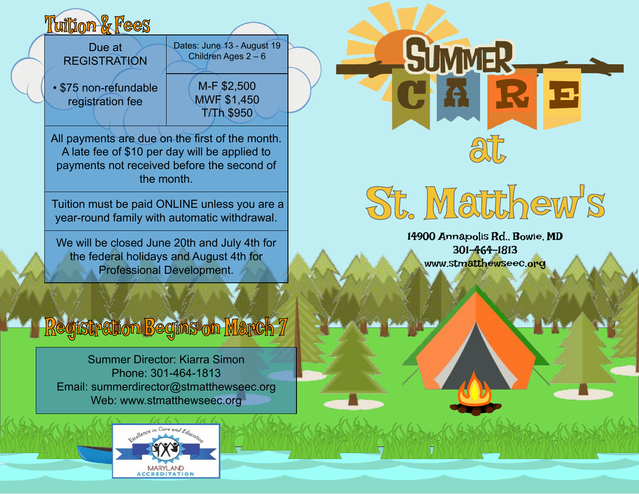# **Milion & Fees**

Due at **REGISTRATION** 

• \$75 non-refundable registration fee

Children Ages  $2 - 6$ M-F \$2,500

Dates: June 13 - August 19

MWF \$1,450 T/Th \$950

> 14900 Annapolis Rd., Bowie, MD 301-464-1813 www.stmatthewseec.org

St. Matthew's

at

R E

All payments are due on the first of the month. A late fee of \$10 per day will be applied to payments not received before the second of the month.

Tuition must be paid ONLINE unless you are a year-round family with automatic withdrawal.

We will be closed June 20th and July 4th for the federal holidays and August 4th for Professional Development.

## Registration Begins on March 7

Summer Director: Kiarra Simon Phone: 301-464-1813 Email: summerdirector@stmatthewseec.org Web: www.stmatthewseec.org